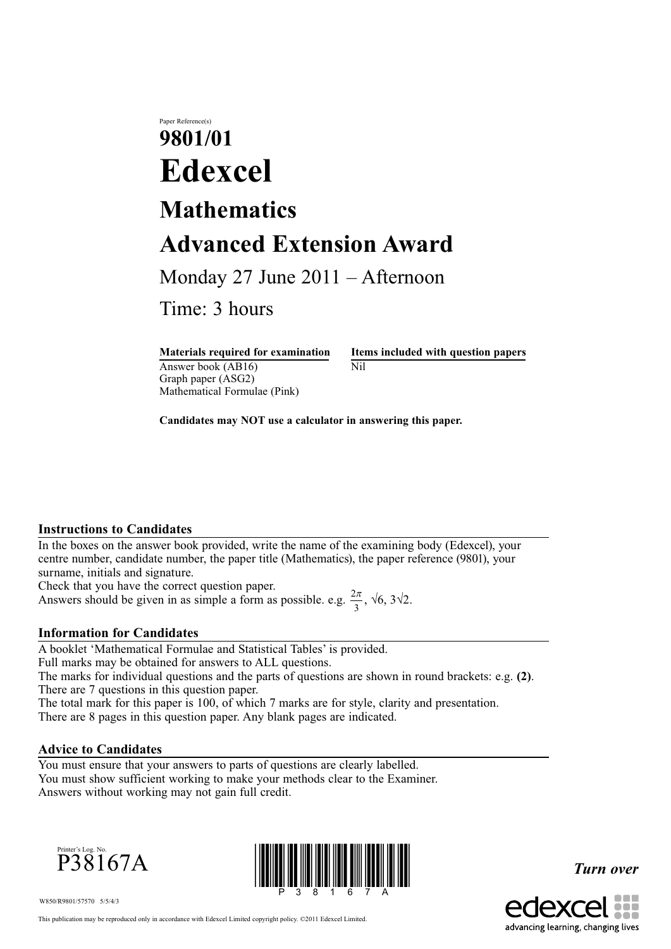Paper Reference(s)

# **9801/01 Edexcel Mathematics Advanced Extension Award**

Monday 27 June 2011 – Afternoon

Time: 3 hours

Answer book  $(AB16)$  Nil Graph paper (ASG2) Mathematical Formulae (Pink)

**Materials required for examination Items included with question papers**

**Candidates may NOT use a calculator in answering this paper.**

#### **Instructions to Candidates**

In the boxes on the answer book provided, write the name of the examining body (Edexcel), your centre number, candidate number, the paper title (Mathematics), the paper reference (9801), your surname, initials and signature.

Check that you have the correct question paper.

Answers should be given in as simple a form as possible. e.g.  $\frac{2\pi}{3}$ ,  $\sqrt{6}$ ,  $3\sqrt{2}$ .

## **Information for Candidates**

A booklet 'Mathematical Formulae and Statistical Tables' is provided. Full marks may be obtained for answers to ALL questions.

The marks for individual questions and the parts of questions are shown in round brackets: e.g. **(2)**. There are 7 questions in this question paper.

The total mark for this paper is 100, of which 7 marks are for style, clarity and presentation.

There are 8 pages in this question paper. Any blank pages are indicated.

## **Advice to Candidates**

You must ensure that your answers to parts of questions are clearly labelled. You must show sufficient working to make your methods clear to the Examiner. Answers without working may not gain full credit.





*Turn over*



W850/R9801/57570 5/5/4/3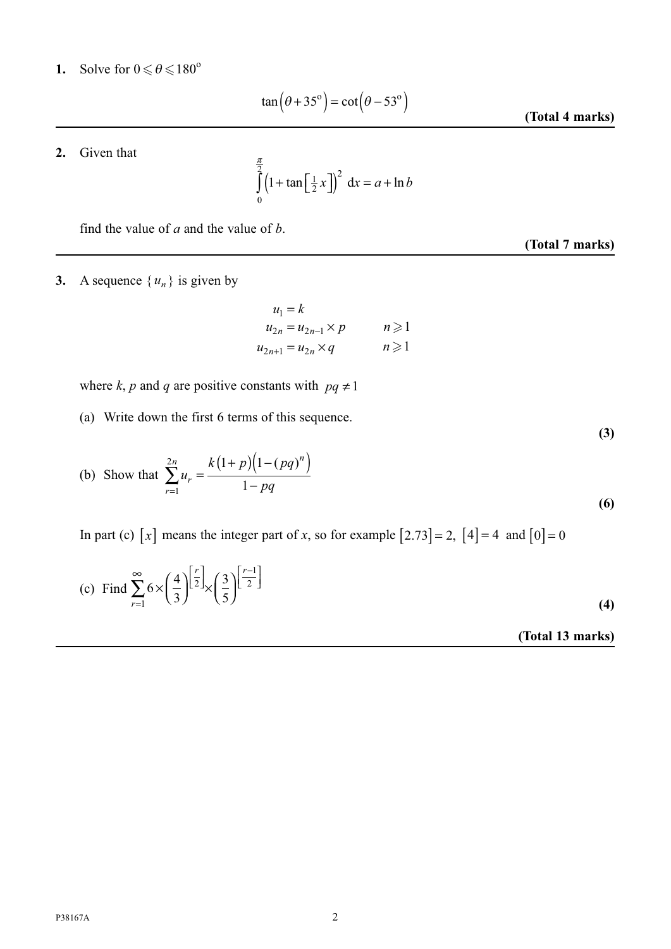**1.** Solve for  $0 \le \theta \le 180^\circ$ 

$$
\tan\left(\theta + 35^{\circ}\right) = \cot\left(\theta - 53^{\circ}\right)
$$

**(Total 4 marks)**

**(Total 7 marks)**

**(3)**

**2.** Given that

$$
\int_{0}^{\frac{\pi}{2}} \left(1 + \tan\left[\frac{1}{2}x\right]\right)^2 dx = a + \ln b
$$

find the value of *a* and the value of *b*.

# **3.** A sequence  $\{u_n\}$  is given by

$$
u_1 = k
$$
  
\n
$$
u_{2n} = u_{2n-1} \times p \qquad n \ge 1
$$
  
\n
$$
u_{2n+1} = u_{2n} \times q \qquad n \ge 1
$$

where *k*, *p* and *q* are positive constants with  $pq \neq 1$ 

(a) Write down the first 6 terms of this sequence.

(b) Show that 
$$
\sum_{r=1}^{2n} u_r = \frac{k(1+p)(1-(pq)^n)}{1-pq}
$$
 (6)

In part (c)  $[x]$  means the integer part of *x*, so for example  $[2.73] = 2$ ,  $[4] = 4$  and  $[0] = 0$ 

(c) Find 
$$
\sum_{r=1}^{\infty} 6 \times \left(\frac{4}{3}\right)^{\left[\frac{r}{2}\right]} \times \left(\frac{3}{5}\right)^{\left[\frac{r-1}{2}\right]}
$$
 (4)

**(Total 13 marks)**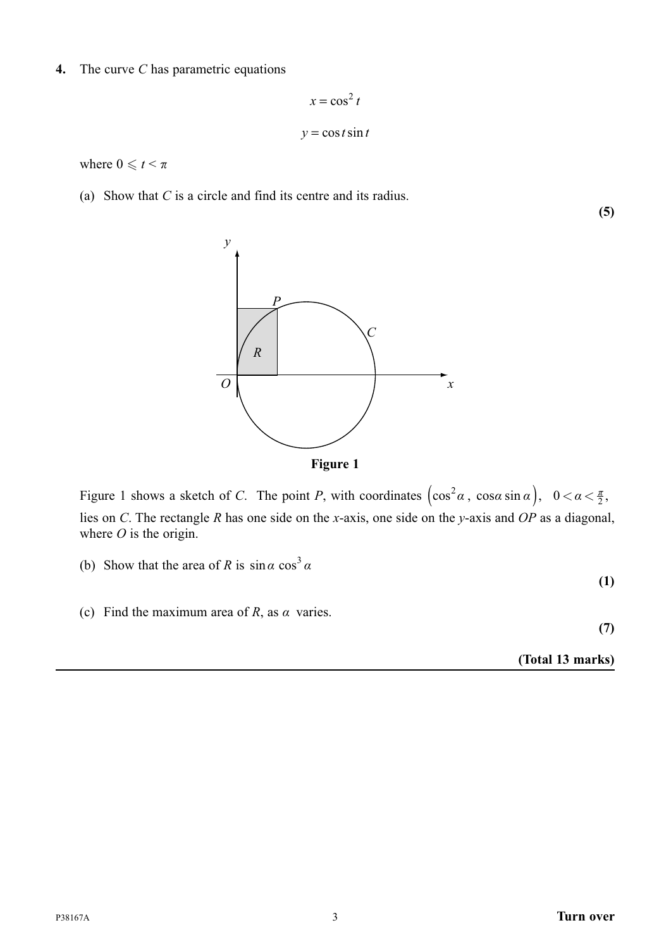**4.** The curve *C* has parametric equations

 $x = \cos^2 t$  $y = \cos t \sin t$ 

where  $0 \leq t < \pi$ 

(a) Show that *C* is a circle and find its centre and its radius.



Figure 1 shows a sketch of *C*. The point *P*, with coordinates  $(\cos^2 \alpha, \cos \alpha \sin \alpha)$ ,  $0 < \alpha < \frac{\pi}{2}$ , lies on *C*. The rectangle *R* has one side on the *x*-axis, one side on the *y*-axis and *OP* as a diagonal, where *O* is the origin.

- (b) Show that the area of *R* is  $\sin \alpha \cos^3 \alpha$
- (c) Find the maximum area of *R*, as  $\alpha$  varies.

**(7)**

**(1)**

**(Total 13 marks)**

**(5)**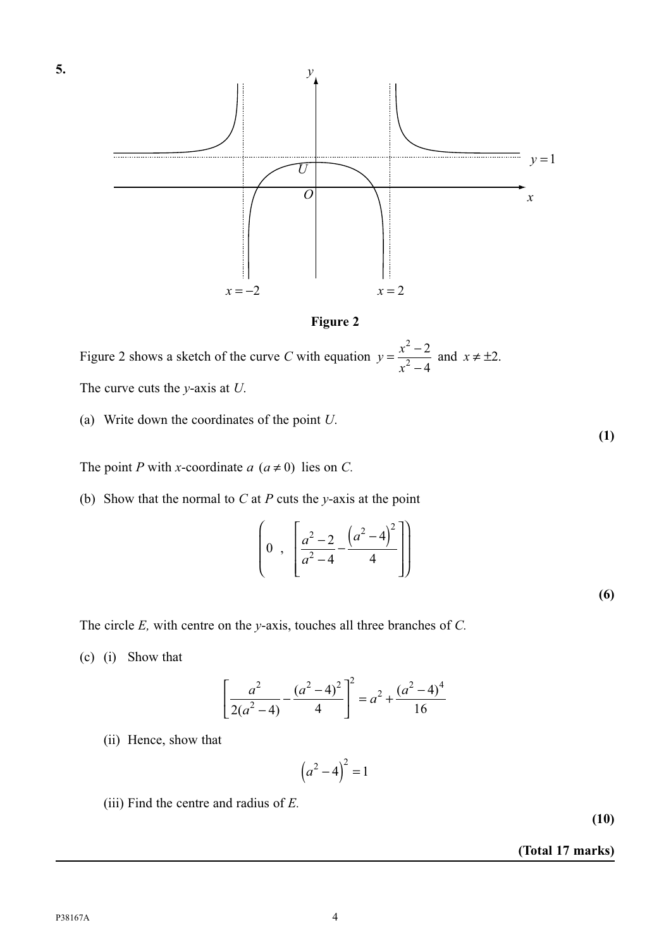

**Figure 2**

Figure 2 shows a sketch of the curve *C* with equation  $y = \frac{x^2 - 1}{x^2 - 1}$ 2 2 2 4 and  $x \neq \pm 2$ . The curve cuts the *y*-axis at *U*.

(a) Write down the coordinates of the point *U*.

The point *P* with *x*-coordinate  $a$  ( $a \ne 0$ ) lies on *C*.

(b) Show that the normal to *C* at *P* cuts the *y*-axis at the point

$$
\left(0, \left[\frac{a^2 - 2}{a^2 - 4} - \frac{(a^2 - 4)^2}{4}\right]\right)
$$
\n(6)

The circle *E,* with centre on the *y*-axis, touches all three branches of *C.*

(c) (i) Show that

$$
\left[\frac{a^2}{2(a^2-4)} - \frac{(a^2-4)^2}{4}\right]^2 = a^2 + \frac{(a^2-4)^4}{16}
$$

(ii) Hence, show that

$$
\left(a^2 - 4\right)^2 = 1
$$

(iii) Find the centre and radius of *E.*

**(10)**

**(1)**

#### **(Total 17 marks)**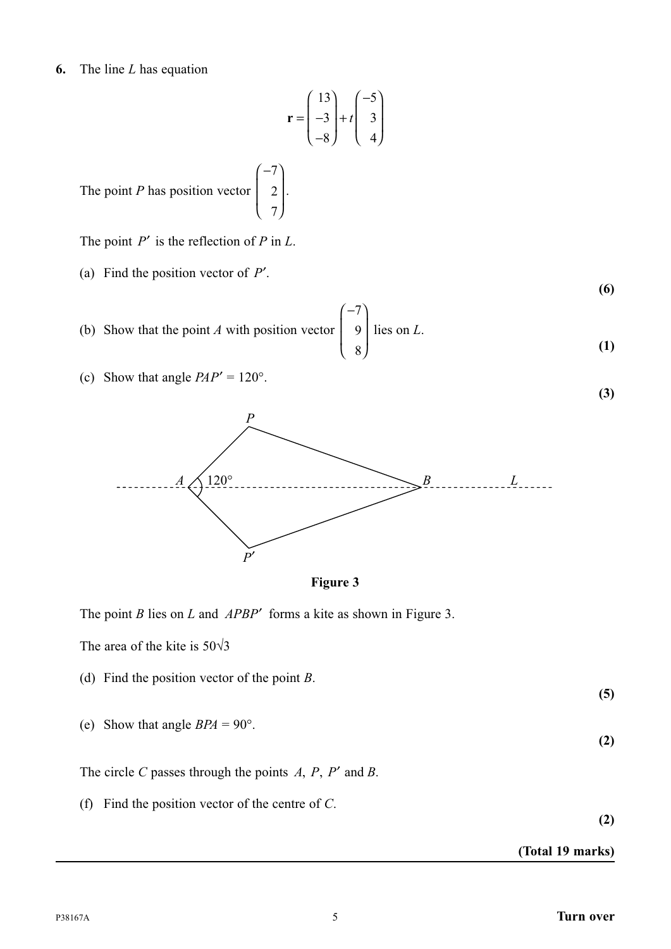#### **6.** The line *L* has equation

$$
\mathbf{r} = \begin{pmatrix} 13 \\ -3 \\ -8 \end{pmatrix} + t \begin{pmatrix} -5 \\ 3 \\ 4 \end{pmatrix}
$$

.

The point *P* has position vector ⎛ − ⎝ ⎜ ⎜ ⎞ ⎠ ⎟ ⎟ 7 2 7

The point *P*′ is the reflection of *P* in *L*.

- (a) Find the position vector of *P*′.
- (b) Show that the point *A* with position vector  $\vert$ (− ⎝ ⎜ ⎞ ⎠ 7 9 lies on *L*. 8 **(1)**
- (c) Show that angle  $PAP' = 120^\circ$ .





The point *B* lies on *L* and *APBP*′ forms a kite as shown in Figure 3.

The area of the kite is  $50\sqrt{3}$ 

- (d) Find the position vector of the point *B*.
- (e) Show that angle  $BPA = 90^{\circ}$ .

The circle *C* passes through the points  $A$ ,  $P$ ,  $P'$  and  $B$ .

(f) Find the position vector of the centre of *C*.

**(2)**

#### **(Total 19 marks)**

**(2)**

**(5)**

**(6)**

**(3)**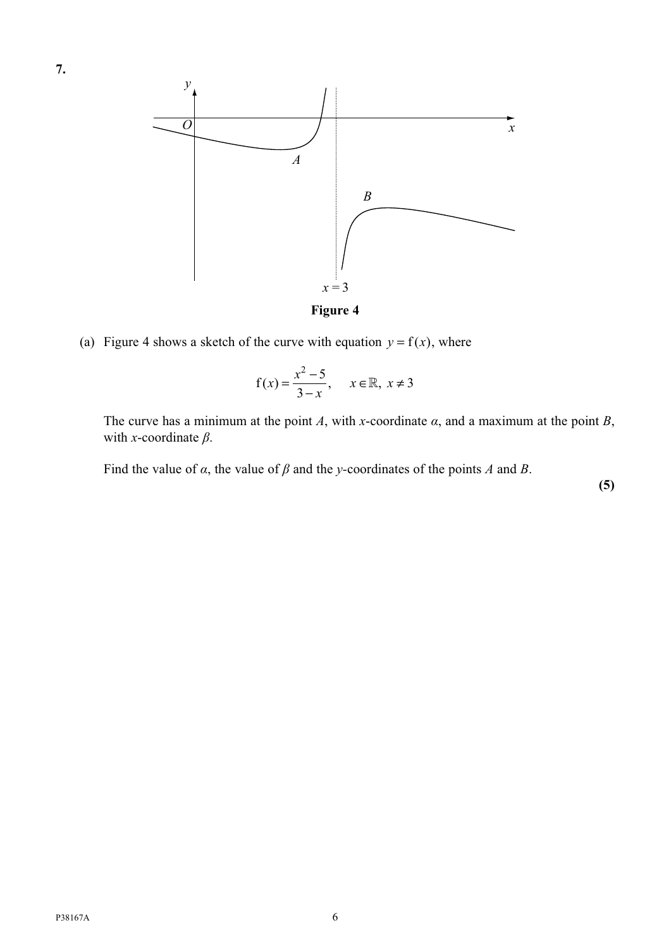

(a) Figure 4 shows a sketch of the curve with equation  $y = f(x)$ , where

$$
f(x) = \frac{x^2 - 5}{3 - x}, \quad x \in \mathbb{R}, \ x \neq 3
$$

The curve has a minimum at the point *A*, with *x*-coordinate  $\alpha$ , and a maximum at the point *B*, with *x*-coordinate *β*.

Find the value of *α*, the value of *β* and the *y-*coordinates of the points *A* and *B*.

**(5)**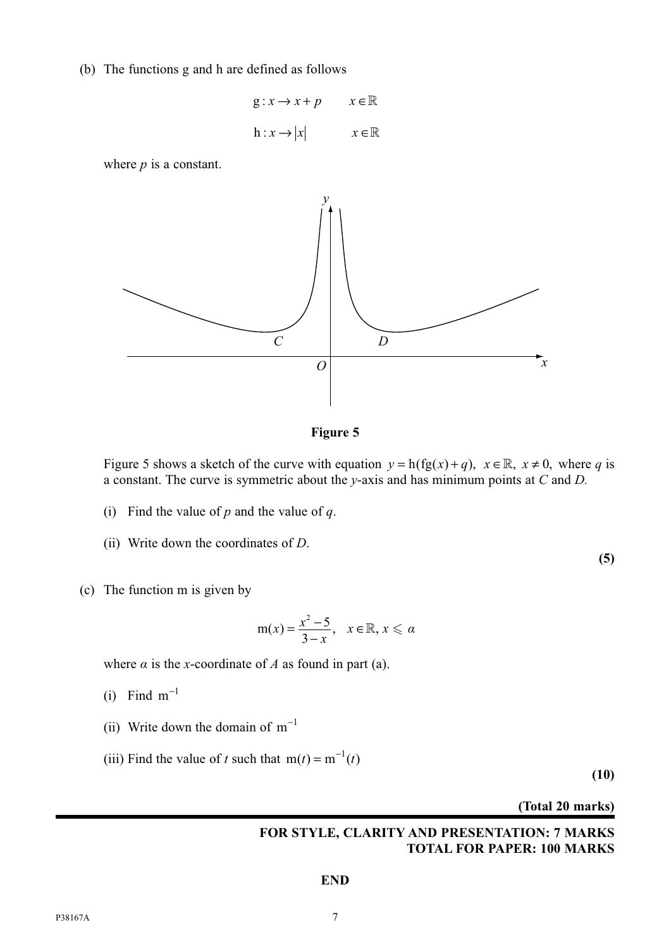(b) The functions g and h are defined as follows

$$
g: x \to x + p \qquad x \in \mathbb{R}
$$
  

$$
h: x \to |x| \qquad x \in \mathbb{R}
$$

where *p* is a constant.



**Figure 5**

Figure 5 shows a sketch of the curve with equation  $y = h(fg(x) + q)$ ,  $x \in \mathbb{R}$ ,  $x \ne 0$ , where *q* is a constant. The curve is symmetric about the *y*-axis and has minimum points at *C* and *D.*

- (i) Find the value of *p* and the value of *q*.
- (ii) Write down the coordinates of *D*.
- (c) The function m is given by

$$
m(x) = \frac{x^2 - 5}{3 - x}, \quad x \in \mathbb{R}, x \leq \alpha
$$

where  $\alpha$  is the *x*-coordinate of  $A$  as found in part (a).

- (i) Find  $m^{-1}$
- (ii) Write down the domain of  $m^{-1}$
- (iii) Find the value of *t* such that  $m(t) = m^{-1}(t)$

**(10)**

**(5)**

**(Total 20 marks)**

#### **FOR STYLE, CLARITY AND PRESENTATION: 7 MARKS TOTAL FOR PAPER: 100 MARKS**

#### **END**